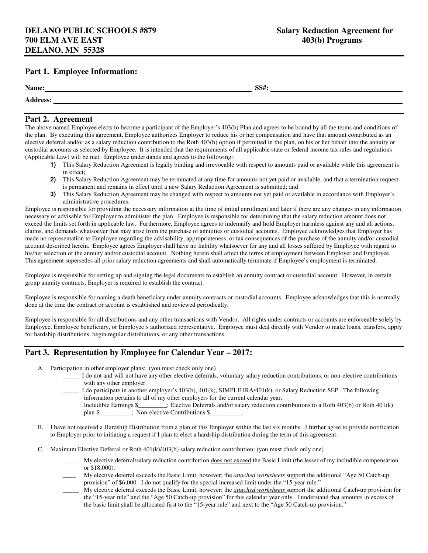### **Part 1. Employee Information:**

| Name:                                 | SS#: |
|---------------------------------------|------|
| $\mathbf{A}$ and $\mathbf{A}$<br>- 33 |      |

#### **Part 2. Agreement**

The above named Employee elects to become a participant of the Employer's 403(b) Plan and agrees to be bound by all the terms and conditions of the plan. By executing this agreement, Employee authorizes Employer to reduce his or her compensation and have that amount contributed as an elective deferral and/or as a salary reduction contribution to the Roth 403(b) option if permitted in the plan, on his or her behalf into the annuity or custodial accounts as selected by Employee. It is intended that the requirements of all applicable state or federal income tax rules and regulations (Applicable Law) will be met. Employee understands and agrees to the following:

- **1)** This Salary Reduction Agreement is legally binding and irrevocable with respect to amounts paid or available while this agreement is in effect;
- **2)** This Salary Reduction Agreement may be terminated at any time for amounts not yet paid or available, and that a termination request is permanent and remains in effect until a new Salary Reduction Agreement is submitted; and
- **3)** This Salary Reduction Agreement may be changed with respect to amounts not yet paid or available in accordance with Employer's administrative procedures.

Employee is responsible for providing the necessary information at the time of initial enrollment and later if there are any changes in any information necessary or advisable for Employer to administer the plan. Employee is responsible for determining that the salary reduction amount does not exceed the limits set forth in applicable law. Furthermore, Employee agrees to indemnify and hold Employer harmless against any and all actions, claims, and demands whatsoever that may arise from the purchase of annuities or custodial accounts. Employee acknowledges that Employer has made no representation to Employee regarding the advisability, appropriateness, or tax consequences of the purchase of the annuity and/or custodial account described herein. Employee agrees Employer shall have no liability whatsoever for any and all losses suffered by Employee with regard to his/her selection of the annuity and/or custodial account. Nothing herein shall affect the terms of employment between Employer and Employee. This agreement supersedes all prior salary reduction agreements and shall automatically terminate if Employee's employment is terminated.

Employee is responsible for setting up and signing the legal documents to establish an annuity contract or custodial account. However, in certain group annuity contracts, Employer is required to establish the contract.

Employee is responsible for naming a death beneficiary under annuity contracts or custodial accounts. Employee acknowledges that this is normally done at the time the contract or account is established and reviewed periodically.

Employee is responsible for all distributions and any other transactions with Vendor. All rights under contracts or accounts are enforceable solely by Employee, Employee beneficiary, or Employee's authorized representative. Employee must deal directly with Vendor to make loans, transfers, apply for hardship distributions, begin regular distributions, or any other transactions.

#### **Part 3. Representation by Employee for Calendar Year – 2017:**

- A. Participation in other employer plans: (you must check only one)
	- \_\_\_\_\_ I do not and will not have any other elective deferrals, voluntary salary reduction contributions, or non-elective contributions with any other employer.

 $\Box$  I do participate in another employer's 403(b), 401(k), SIMPLE IRA/401(k), or Salary Reduction SEP. The following information pertains to all of my other employers for the current calendar year: Includible Earnings \$\_\_\_\_\_\_\_\_\_; Elective Deferrals and/or salary reduction contributions to a Roth 403(b) or Roth 401(k) plan \$\_\_\_\_\_\_\_\_; Non-elective Contributions \$\_\_\_\_\_\_\_\_\_\_\_\_\_\_\_\_;

- B. I have not received a Hardship Distribution from a plan of this Employer within the last six months. I further agree to provide notification to Employer prior to initiating a request if I plan to elect a hardship distribution during the term of this agreement.
- C. Maximum Elective Deferral or Roth 401(k)/403(b) salary reduction contribution: (you must check only one)
	- My elective deferral/salary reduction contribution does not exceed the Basic Limit (the lesser of my includible compensation or \$18,000).
	- \_\_\_\_ My elective deferral exceeds the Basic Limit, however; the *attached worksheets* support the additional "Age 50 Catch-up provision" of \$6,000. I do not qualify for the special increased limit under the "15-year rule."
	- \_\_\_\_\_ My elective deferral exceeds the Basic Limit, however; the *attached worksheets* support the additional Catch-up provision for the "15-year rule" and the "Age 50 Catch-up provision" for this calendar year only. I understand that amounts in excess of the basic limit shall be allocated first to the "15-year rule" and next to the "Age 50 Catch-up provision."